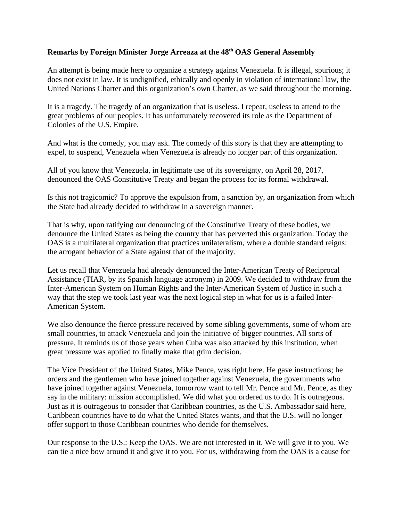## **Remarks by Foreign Minister Jorge Arreaza at the 48th OAS General Assembly**

An attempt is being made here to organize a strategy against Venezuela. It is illegal, spurious; it does not exist in law. It is undignified, ethically and openly in violation of international law, the United Nations Charter and this organization's own Charter, as we said throughout the morning.

It is a tragedy. The tragedy of an organization that is useless. I repeat, useless to attend to the great problems of our peoples. It has unfortunately recovered its role as the Department of Colonies of the U.S. Empire.

And what is the comedy, you may ask. The comedy of this story is that they are attempting to expel, to suspend, Venezuela when Venezuela is already no longer part of this organization.

All of you know that Venezuela, in legitimate use of its sovereignty, on April 28, 2017, denounced the OAS Constitutive Treaty and began the process for its formal withdrawal.

Is this not tragicomic? To approve the expulsion from, a sanction by, an organization from which the State had already decided to withdraw in a sovereign manner.

That is why, upon ratifying our denouncing of the Constitutive Treaty of these bodies, we denounce the United States as being the country that has perverted this organization. Today the OAS is a multilateral organization that practices unilateralism, where a double standard reigns: the arrogant behavior of a State against that of the majority.

Let us recall that Venezuela had already denounced the Inter-American Treaty of Reciprocal Assistance (TIAR, by its Spanish language acronym) in 2009. We decided to withdraw from the Inter-American System on Human Rights and the Inter-American System of Justice in such a way that the step we took last year was the next logical step in what for us is a failed Inter-American System.

We also denounce the fierce pressure received by some sibling governments, some of whom are small countries, to attack Venezuela and join the initiative of bigger countries. All sorts of pressure. It reminds us of those years when Cuba was also attacked by this institution, when great pressure was applied to finally make that grim decision.

The Vice President of the United States, Mike Pence, was right here. He gave instructions; he orders and the gentlemen who have joined together against Venezuela, the governments who have joined together against Venezuela, tomorrow want to tell Mr. Pence and Mr. Pence, as they say in the military: mission accomplished. We did what you ordered us to do. It is outrageous. Just as it is outrageous to consider that Caribbean countries, as the U.S. Ambassador said here, Caribbean countries have to do what the United States wants, and that the U.S. will no longer offer support to those Caribbean countries who decide for themselves.

Our response to the U.S.: Keep the OAS. We are not interested in it. We will give it to you. We can tie a nice bow around it and give it to you. For us, withdrawing from the OAS is a cause for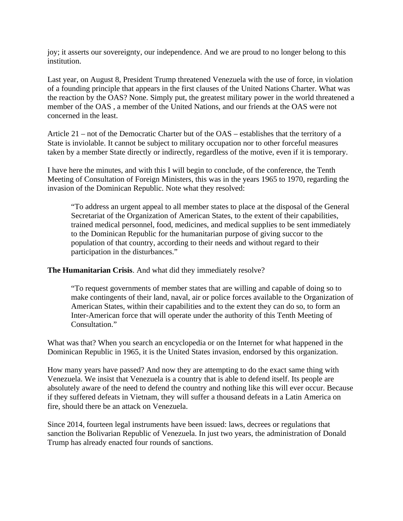joy; it asserts our sovereignty, our independence. And we are proud to no longer belong to this institution.

Last year, on August 8, President Trump threatened Venezuela with the use of force, in violation of a founding principle that appears in the first clauses of the United Nations Charter. What was the reaction by the OAS? None. Simply put, the greatest military power in the world threatened a member of the OAS , a member of the United Nations, and our friends at the OAS were not concerned in the least.

Article 21 – not of the Democratic Charter but of the OAS – establishes that the territory of a State is inviolable. It cannot be subject to military occupation nor to other forceful measures taken by a member State directly or indirectly, regardless of the motive, even if it is temporary.

I have here the minutes, and with this I will begin to conclude, of the conference, the Tenth Meeting of Consultation of Foreign Ministers, this was in the years 1965 to 1970, regarding the invasion of the Dominican Republic. Note what they resolved:

"To address an urgent appeal to all member states to place at the disposal of the General Secretariat of the Organization of American States, to the extent of their capabilities, trained medical personnel, food, medicines, and medical supplies to be sent immediately to the Dominican Republic for the humanitarian purpose of giving succor to the population of that country, according to their needs and without regard to their participation in the disturbances."

**The Humanitarian Crisis**. And what did they immediately resolve?

"To request governments of member states that are willing and capable of doing so to make contingents of their land, naval, air or police forces available to the Organization of American States, within their capabilities and to the extent they can do so, to form an Inter-American force that will operate under the authority of this Tenth Meeting of Consultation."

What was that? When you search an encyclopedia or on the Internet for what happened in the Dominican Republic in 1965, it is the United States invasion, endorsed by this organization.

How many years have passed? And now they are attempting to do the exact same thing with Venezuela. We insist that Venezuela is a country that is able to defend itself. Its people are absolutely aware of the need to defend the country and nothing like this will ever occur. Because if they suffered defeats in Vietnam, they will suffer a thousand defeats in a Latin America on fire, should there be an attack on Venezuela.

Since 2014, fourteen legal instruments have been issued: laws, decrees or regulations that sanction the Bolivarian Republic of Venezuela. In just two years, the administration of Donald Trump has already enacted four rounds of sanctions.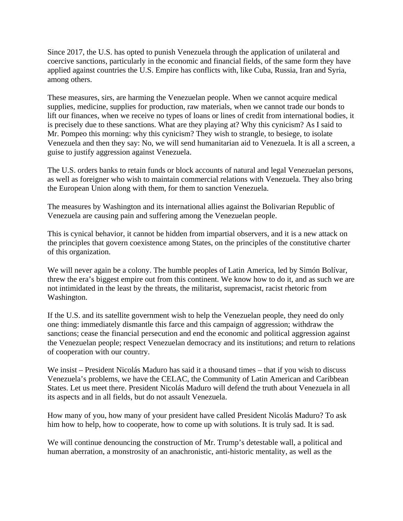Since 2017, the U.S. has opted to punish Venezuela through the application of unilateral and coercive sanctions, particularly in the economic and financial fields, of the same form they have applied against countries the U.S. Empire has conflicts with, like Cuba, Russia, Iran and Syria, among others.

These measures, sirs, are harming the Venezuelan people. When we cannot acquire medical supplies, medicine, supplies for production, raw materials, when we cannot trade our bonds to lift our finances, when we receive no types of loans or lines of credit from international bodies, it is precisely due to these sanctions. What are they playing at? Why this cynicism? As I said to Mr. Pompeo this morning: why this cynicism? They wish to strangle, to besiege, to isolate Venezuela and then they say: No, we will send humanitarian aid to Venezuela. It is all a screen, a guise to justify aggression against Venezuela.

The U.S. orders banks to retain funds or block accounts of natural and legal Venezuelan persons, as well as foreigner who wish to maintain commercial relations with Venezuela. They also bring the European Union along with them, for them to sanction Venezuela.

The measures by Washington and its international allies against the Bolivarian Republic of Venezuela are causing pain and suffering among the Venezuelan people.

This is cynical behavior, it cannot be hidden from impartial observers, and it is a new attack on the principles that govern coexistence among States, on the principles of the constitutive charter of this organization.

We will never again be a colony. The humble peoples of Latin America, led by Simón Bolívar, threw the era's biggest empire out from this continent. We know how to do it, and as such we are not intimidated in the least by the threats, the militarist, supremacist, racist rhetoric from Washington.

If the U.S. and its satellite government wish to help the Venezuelan people, they need do only one thing: immediately dismantle this farce and this campaign of aggression; withdraw the sanctions; cease the financial persecution and end the economic and political aggression against the Venezuelan people; respect Venezuelan democracy and its institutions; and return to relations of cooperation with our country.

We insist – President Nicolás Maduro has said it a thousand times – that if you wish to discuss Venezuela's problems, we have the CELAC, the Community of Latin American and Caribbean States. Let us meet there. President Nicolás Maduro will defend the truth about Venezuela in all its aspects and in all fields, but do not assault Venezuela.

How many of you, how many of your president have called President Nicolás Maduro? To ask him how to help, how to cooperate, how to come up with solutions. It is truly sad. It is sad.

We will continue denouncing the construction of Mr. Trump's detestable wall, a political and human aberration, a monstrosity of an anachronistic, anti-historic mentality, as well as the